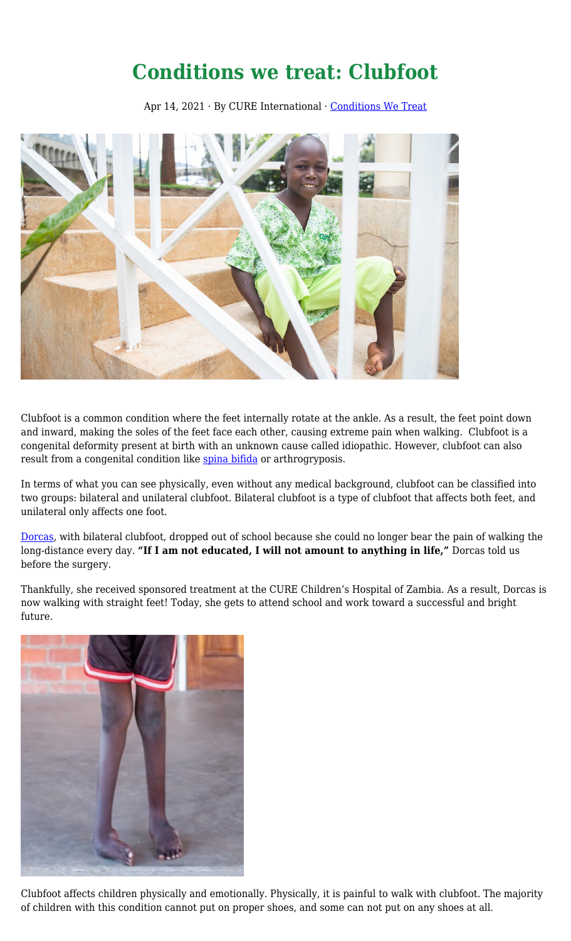## **Conditions we treat: Clubfoot**

Apr 14, 2021 · By CURE International · [Conditions We Treat](https://cure.org/category/conditions-we-treat/)



Clubfoot is a common condition where the feet internally rotate at the ankle. As a result, the feet point down and inward, making the soles of the feet face each other, causing extreme pain when walking. Clubfoot is a congenital deformity present at birth with an unknown cause called idiopathic. However, clubfoot can also result from a congenital condition like [spina bifida](https://cure.org/2021/01/conditions-we-treat-spina-bifida/) or arthrogryposis.

In terms of what you can see physically, even without any medical background, clubfoot can be classified into two groups: bilateral and unilateral clubfoot. Bilateral clubfoot is a type of clubfoot that affects both feet, and unilateral only affects one foot.

[Dorcas,](https://cure.org/curekids/zambia/2020/02/dorcas/) with bilateral clubfoot, dropped out of school because she could no longer bear the pain of walking the long-distance every day. **"If I am not educated, I will not amount to anything in life,"** Dorcas told us before the surgery.

Thankfully, she received sponsored treatment at the CURE Children's Hospital of Zambia. As a result, Dorcas is now walking with straight feet! Today, she gets to attend school and work toward a successful and bright future.



Clubfoot affects children physically and emotionally. Physically, it is painful to walk with clubfoot. The majority of children with this condition cannot put on proper shoes, and some can not put on any shoes at all.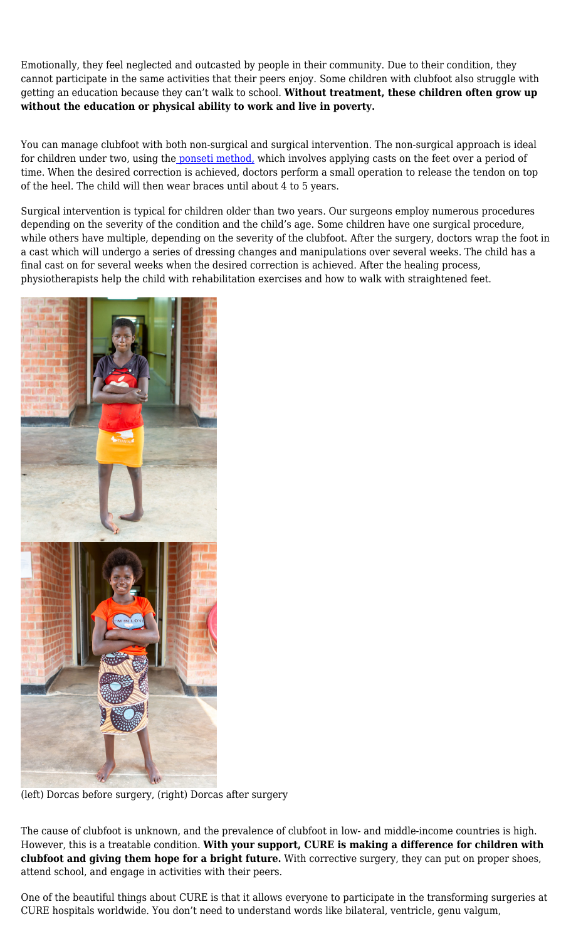Emotionally, they feel neglected and outcasted by people in their community. Due to their condition, they cannot participate in the same activities that their peers enjoy. Some children with clubfoot also struggle with getting an education because they can't walk to school. **Without treatment, these children often grow up without the education or physical ability to work and live in poverty.**

You can manage clubfoot with both non-surgical and surgical intervention. The non-surgical approach is ideal for children under two, using the [ponseti method,](https://cure.org/2019/09/a-new-approach-to-untreated-clubfoot/) which involves applying casts on the feet over a period of time. When the desired correction is achieved, doctors perform a small operation to release the tendon on top of the heel. The child will then wear braces until about 4 to 5 years.

Surgical intervention is typical for children older than two years. Our surgeons employ numerous procedures depending on the severity of the condition and the child's age. Some children have one surgical procedure, while others have multiple, depending on the severity of the clubfoot. After the surgery, doctors wrap the foot in a cast which will undergo a series of dressing changes and manipulations over several weeks. The child has a final cast on for several weeks when the desired correction is achieved. After the healing process, physiotherapists help the child with rehabilitation exercises and how to walk with straightened feet.



(left) Dorcas before surgery, (right) Dorcas after surgery

The cause of clubfoot is unknown, and the prevalence of clubfoot in low- and middle-income countries is high. However, this is a treatable condition. **With your support, CURE is making a difference for children with clubfoot and giving them hope for a bright future.** With corrective surgery, they can put on proper shoes, attend school, and engage in activities with their peers.

One of the beautiful things about CURE is that it allows everyone to participate in the transforming surgeries at CURE hospitals worldwide. You don't need to understand words like bilateral, ventricle, genu valgum,